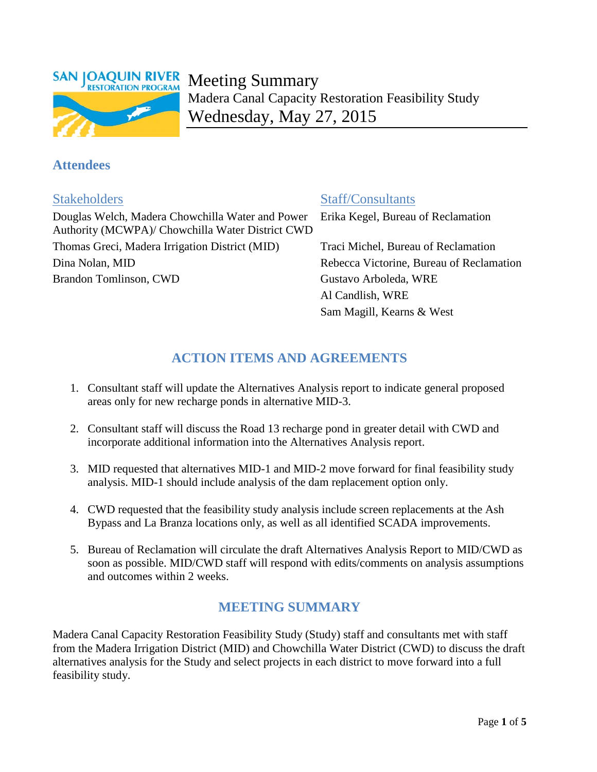

# Meeting Summary Madera Canal Capacity Restoration Feasibility Study Wednesday, May 27, 2015

## **Attendees**

Douglas Welch, Madera Chowchilla Water and Power Authority (MCWPA)/ Chowchilla Water District CWD Thomas Greci, Madera Irrigation District (MID) Traci Michel, Bureau of Reclamation Dina Nolan, MID Rebecca Victorine, Bureau of Reclamation Brandon Tomlinson, CWD Gustavo Arboleda, WRE

## Stakeholders Staff/Consultants

Erika Kegel, Bureau of Reclamation

Al Candlish, WRE Sam Magill, Kearns & West

# **ACTION ITEMS AND AGREEMENTS**

- 1. Consultant staff will update the Alternatives Analysis report to indicate general proposed areas only for new recharge ponds in alternative MID-3.
- 2. Consultant staff will discuss the Road 13 recharge pond in greater detail with CWD and incorporate additional information into the Alternatives Analysis report.
- 3. MID requested that alternatives MID-1 and MID-2 move forward for final feasibility study analysis. MID-1 should include analysis of the dam replacement option only.
- 4. CWD requested that the feasibility study analysis include screen replacements at the Ash Bypass and La Branza locations only, as well as all identified SCADA improvements.
- 5. Bureau of Reclamation will circulate the draft Alternatives Analysis Report to MID/CWD as soon as possible. MID/CWD staff will respond with edits/comments on analysis assumptions and outcomes within 2 weeks.

## **MEETING SUMMARY**

Madera Canal Capacity Restoration Feasibility Study (Study) staff and consultants met with staff from the Madera Irrigation District (MID) and Chowchilla Water District (CWD) to discuss the draft alternatives analysis for the Study and select projects in each district to move forward into a full feasibility study.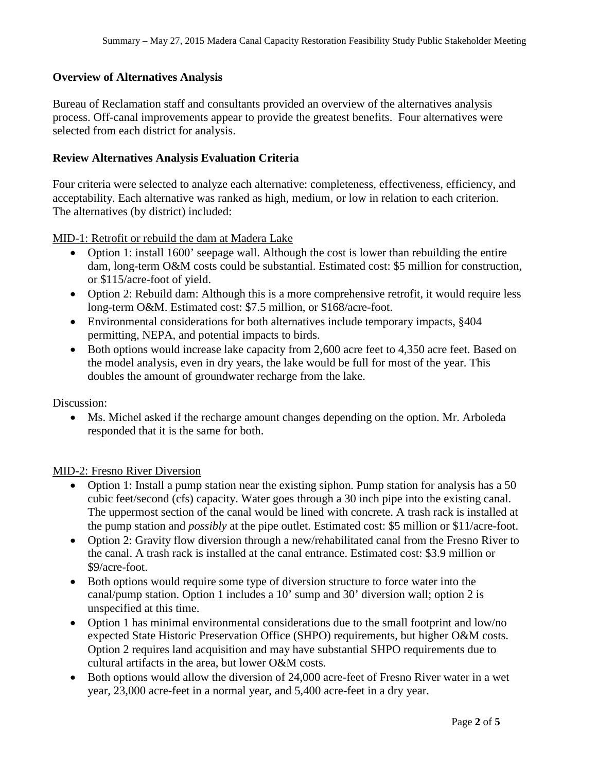### **Overview of Alternatives Analysis**

Bureau of Reclamation staff and consultants provided an overview of the alternatives analysis process. Off-canal improvements appear to provide the greatest benefits. Four alternatives were selected from each district for analysis.

#### **Review Alternatives Analysis Evaluation Criteria**

Four criteria were selected to analyze each alternative: completeness, effectiveness, efficiency, and acceptability. Each alternative was ranked as high, medium, or low in relation to each criterion. The alternatives (by district) included:

MID-1: Retrofit or rebuild the dam at Madera Lake

- Option 1: install 1600' seepage wall. Although the cost is lower than rebuilding the entire dam, long-term O&M costs could be substantial. Estimated cost: \$5 million for construction, or \$115/acre-foot of yield.
- Option 2: Rebuild dam: Although this is a more comprehensive retrofit, it would require less long-term O&M. Estimated cost: \$7.5 million, or \$168/acre-foot.
- Environmental considerations for both alternatives include temporary impacts, §404 permitting, NEPA, and potential impacts to birds.
- Both options would increase lake capacity from 2,600 acre feet to 4,350 acre feet. Based on the model analysis, even in dry years, the lake would be full for most of the year. This doubles the amount of groundwater recharge from the lake.

Discussion:

• Ms. Michel asked if the recharge amount changes depending on the option. Mr. Arboleda responded that it is the same for both.

#### MID-2: Fresno River Diversion

- Option 1: Install a pump station near the existing siphon. Pump station for analysis has a 50 cubic feet/second (cfs) capacity. Water goes through a 30 inch pipe into the existing canal. The uppermost section of the canal would be lined with concrete. A trash rack is installed at the pump station and *possibly* at the pipe outlet. Estimated cost: \$5 million or \$11/acre-foot.
- Option 2: Gravity flow diversion through a new/rehabilitated canal from the Fresno River to the canal. A trash rack is installed at the canal entrance. Estimated cost: \$3.9 million or \$9/acre-foot.
- Both options would require some type of diversion structure to force water into the canal/pump station. Option 1 includes a 10' sump and 30' diversion wall; option 2 is unspecified at this time.
- Option 1 has minimal environmental considerations due to the small footprint and low/no expected State Historic Preservation Office (SHPO) requirements, but higher O&M costs. Option 2 requires land acquisition and may have substantial SHPO requirements due to cultural artifacts in the area, but lower O&M costs.
- Both options would allow the diversion of 24,000 acre-feet of Fresno River water in a wet year, 23,000 acre-feet in a normal year, and 5,400 acre-feet in a dry year.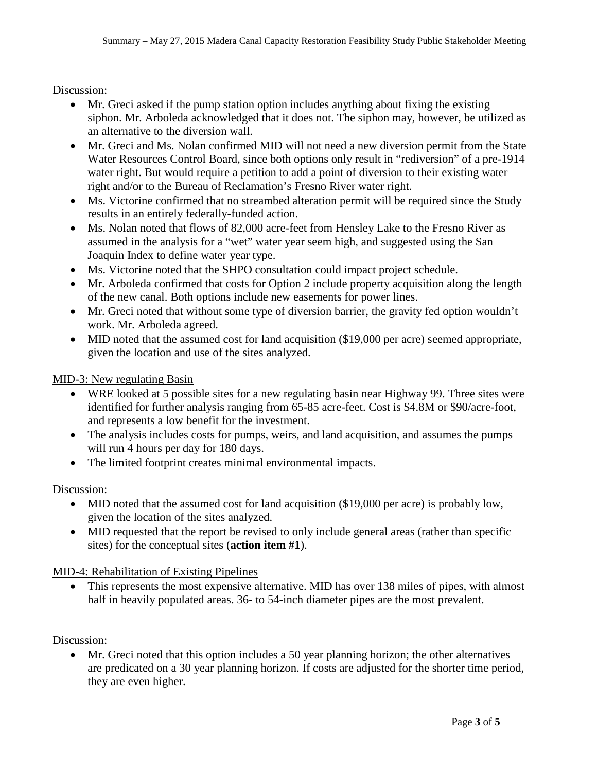Discussion:

- Mr. Greci asked if the pump station option includes anything about fixing the existing siphon. Mr. Arboleda acknowledged that it does not. The siphon may, however, be utilized as an alternative to the diversion wall.
- Mr. Greci and Ms. Nolan confirmed MID will not need a new diversion permit from the State Water Resources Control Board, since both options only result in "rediversion" of a pre-1914 water right. But would require a petition to add a point of diversion to their existing water right and/or to the Bureau of Reclamation's Fresno River water right.
- Ms. Victorine confirmed that no streambed alteration permit will be required since the Study results in an entirely federally-funded action.
- Ms. Nolan noted that flows of 82,000 acre-feet from Hensley Lake to the Fresno River as assumed in the analysis for a "wet" water year seem high, and suggested using the San Joaquin Index to define water year type.
- Ms. Victorine noted that the SHPO consultation could impact project schedule.
- Mr. Arboleda confirmed that costs for Option 2 include property acquisition along the length of the new canal. Both options include new easements for power lines.
- Mr. Greci noted that without some type of diversion barrier, the gravity fed option wouldn't work. Mr. Arboleda agreed.
- MID noted that the assumed cost for land acquisition (\$19,000 per acre) seemed appropriate, given the location and use of the sites analyzed.

MID-3: New regulating Basin

- WRE looked at 5 possible sites for a new regulating basin near Highway 99. Three sites were identified for further analysis ranging from 65-85 acre-feet. Cost is \$4.8M or \$90/acre-foot, and represents a low benefit for the investment.
- The analysis includes costs for pumps, weirs, and land acquisition, and assumes the pumps will run 4 hours per day for 180 days.
- The limited footprint creates minimal environmental impacts.

Discussion:

- MID noted that the assumed cost for land acquisition (\$19,000 per acre) is probably low, given the location of the sites analyzed.
- MID requested that the report be revised to only include general areas (rather than specific sites) for the conceptual sites (**action item #1**).

MID-4: Rehabilitation of Existing Pipelines

• This represents the most expensive alternative. MID has over 138 miles of pipes, with almost half in heavily populated areas. 36- to 54-inch diameter pipes are the most prevalent.

Discussion:

• Mr. Greci noted that this option includes a 50 year planning horizon; the other alternatives are predicated on a 30 year planning horizon. If costs are adjusted for the shorter time period, they are even higher.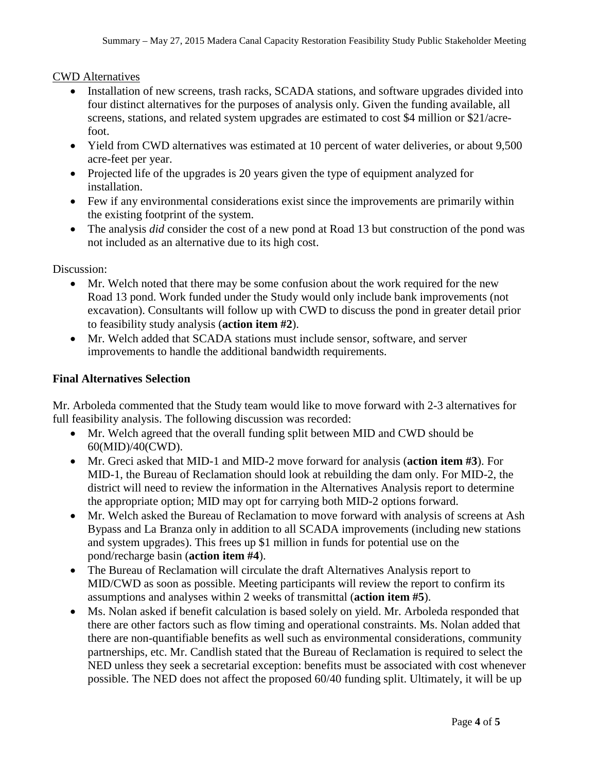#### CWD Alternatives

- Installation of new screens, trash racks, SCADA stations, and software upgrades divided into four distinct alternatives for the purposes of analysis only. Given the funding available, all screens, stations, and related system upgrades are estimated to cost \$4 million or \$21/acrefoot.
- Yield from CWD alternatives was estimated at 10 percent of water deliveries, or about 9,500 acre-feet per year.
- Projected life of the upgrades is 20 years given the type of equipment analyzed for installation.
- Few if any environmental considerations exist since the improvements are primarily within the existing footprint of the system.
- The analysis *did* consider the cost of a new pond at Road 13 but construction of the pond was not included as an alternative due to its high cost.

Discussion:

- Mr. Welch noted that there may be some confusion about the work required for the new Road 13 pond. Work funded under the Study would only include bank improvements (not excavation). Consultants will follow up with CWD to discuss the pond in greater detail prior to feasibility study analysis (**action item #2**).
- Mr. Welch added that SCADA stations must include sensor, software, and server improvements to handle the additional bandwidth requirements.

### **Final Alternatives Selection**

Mr. Arboleda commented that the Study team would like to move forward with 2-3 alternatives for full feasibility analysis. The following discussion was recorded:

- Mr. Welch agreed that the overall funding split between MID and CWD should be 60(MID)/40(CWD).
- Mr. Greci asked that MID-1 and MID-2 move forward for analysis (**action item #3**). For MID-1, the Bureau of Reclamation should look at rebuilding the dam only. For MID-2, the district will need to review the information in the Alternatives Analysis report to determine the appropriate option; MID may opt for carrying both MID-2 options forward.
- Mr. Welch asked the Bureau of Reclamation to move forward with analysis of screens at Ash Bypass and La Branza only in addition to all SCADA improvements (including new stations and system upgrades). This frees up \$1 million in funds for potential use on the pond/recharge basin (**action item #4**).
- The Bureau of Reclamation will circulate the draft Alternatives Analysis report to MID/CWD as soon as possible. Meeting participants will review the report to confirm its assumptions and analyses within 2 weeks of transmittal (**action item #5**).
- Ms. Nolan asked if benefit calculation is based solely on yield. Mr. Arboleda responded that there are other factors such as flow timing and operational constraints. Ms. Nolan added that there are non-quantifiable benefits as well such as environmental considerations, community partnerships, etc. Mr. Candlish stated that the Bureau of Reclamation is required to select the NED unless they seek a secretarial exception: benefits must be associated with cost whenever possible. The NED does not affect the proposed 60/40 funding split. Ultimately, it will be up